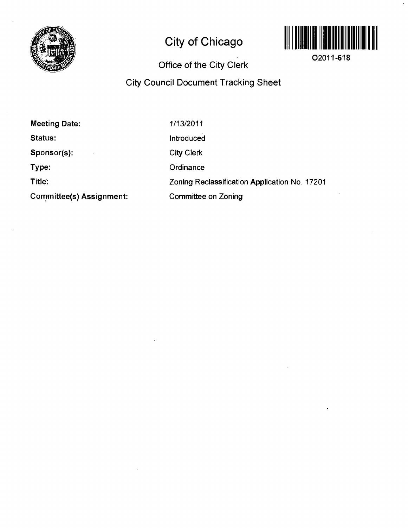

# **City of Chicago**



**02011-618** 

# **Office of the City Clerk**

# **City Council Document Tracking Sheet**

| Committee(s) Assignment: | Committee on Zoning                           |  |
|--------------------------|-----------------------------------------------|--|
| Title:                   | Zoning Reclassification Application No. 17201 |  |
| Type:                    | Ordinance                                     |  |
| Sponsor(s):              | <b>City Clerk</b>                             |  |
| <b>Status:</b>           | Introduced                                    |  |
| Meeting Date:            | 1/13/2011                                     |  |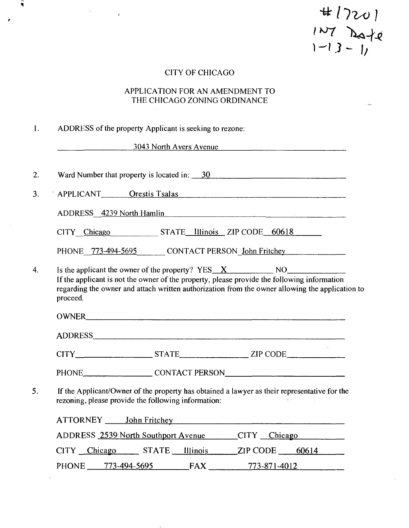$H17201$ <br> $1^{107}$  Date

 $\bar{\mathcal{L}}$ 

# CITY OF CHICAGO

 $\bullet$ 

 $\hat{\mathbf{r}}$ 

 $\mathcal{O}(\mathcal{O}(\log n))$ 

### APPLICATION FOR AN AMENDMENT TO THE CHICAGO ZONING ORDINANCE

|                              | <u>3043 North Avers Avenue</u>                                                                                                                                                                 |
|------------------------------|------------------------------------------------------------------------------------------------------------------------------------------------------------------------------------------------|
|                              | Ward Number that property is located in: $\frac{30}{20}$                                                                                                                                       |
|                              | APPLICANT Orestis Tsalas                                                                                                                                                                       |
|                              | ADDRESS 4239 North Hamlin                                                                                                                                                                      |
|                              | CITY Chicago STATE Illinois ZIP CODE 60618                                                                                                                                                     |
|                              | PHONE 773-494-5695 CONTACT PERSON John Fritchey                                                                                                                                                |
| proceed.                     | If the applicant is not the owner of the property, please provide the following information<br>regarding the owner and attach written authorization from the owner allowing the application to |
|                              |                                                                                                                                                                                                |
|                              |                                                                                                                                                                                                |
|                              |                                                                                                                                                                                                |
|                              | PHONE CONTACT PERSON                                                                                                                                                                           |
|                              | If the Applicant/Owner of the property has obtained a lawyer as their representative for the<br>rezoning, please provide the following information:                                            |
| ATTORNEY _____ John Fritchey |                                                                                                                                                                                                |
|                              | <b>ADDRESS</b> 2539 North Southport Avenue<br>CITY Chicago                                                                                                                                     |
|                              | CITY Chicago STATE<br><b>Illinois</b><br>$ZIP$ CODE $-60614$                                                                                                                                   |

 $\sim$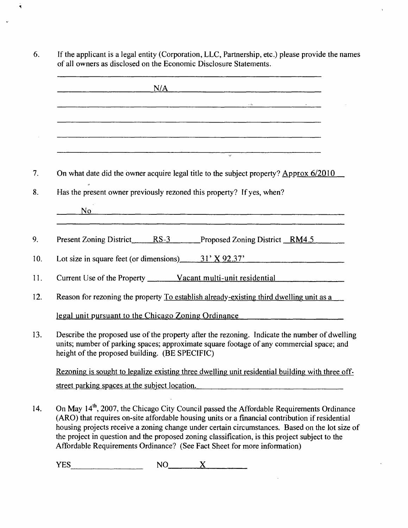| <u> 1980 - Johann John Harry Harry Harry Harry Harry Harry Harry Harry Harry Harry Harry Harry Harry Harry Harry</u>                                                                                                                        |
|---------------------------------------------------------------------------------------------------------------------------------------------------------------------------------------------------------------------------------------------|
|                                                                                                                                                                                                                                             |
|                                                                                                                                                                                                                                             |
|                                                                                                                                                                                                                                             |
|                                                                                                                                                                                                                                             |
| On what date did the owner acquire legal title to the subject property? Approx 6/2010                                                                                                                                                       |
| Has the present owner previously rezoned this property? If yes, when?                                                                                                                                                                       |
| <u>No experience and the set of the set of the set of the set of the set of the set of the set of the set of the set of the set of the set of the set of the set of the set of the set of the set of the set of the set of the s</u>        |
|                                                                                                                                                                                                                                             |
| Present Zoning District RS-3 Proposed Zoning District RM4.5                                                                                                                                                                                 |
| Lot size in square feet (or dimensions) $31'$ X 92.37'                                                                                                                                                                                      |
|                                                                                                                                                                                                                                             |
| Reason for rezoning the property To establish already-existing third dwelling unit as a                                                                                                                                                     |
| legal unit pursuant to the Chicago Zoning Ordinance                                                                                                                                                                                         |
| Describe the proposed use of the property after the rezoning. Indicate the number of dwelling<br>units; number of parking spaces; approximate square footage of any commercial space; and<br>height of the proposed building. (BE SPECIFIC) |
| Rezoning is sought to legalize existing three dwelling unit residential building with three off-                                                                                                                                            |
| street parking spaces at the subject location.                                                                                                                                                                                              |

Ÿ

the project in question and the proposed zoning classification, is this project subject to the AfFordable Requirements Ordinance? (See Fact Sheet for more information)

l.

 $YES$   $NO$   $X$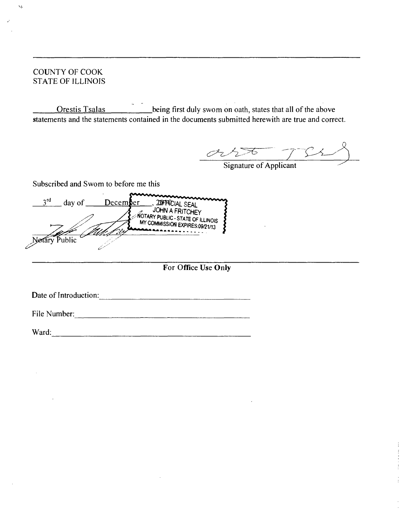COUNTY OF COOK STATE OF ILLINOIS

 $\mathcal{A}$ 

Orestis Tsalas .being first duly swom on oath, states that all of the above statements and the statements contained in the documents submitted herewith are true and correct.

 $\frac{2}{\sqrt{2}}$ Signature of Applicant

Subscribed and Swom to before me this

 $\frac{3^{rd}}{d}$  day of <u>December</u> 200 HN A FRITCHEY JOHN A FRITCHEY **WORK FUBLIC - STATE OF ILLINOIS** MY COMMISSION EXPIRES:09/21/13 Notary Public

**For Office Use Only** 

Date of Introduction:

File Number:

Ward: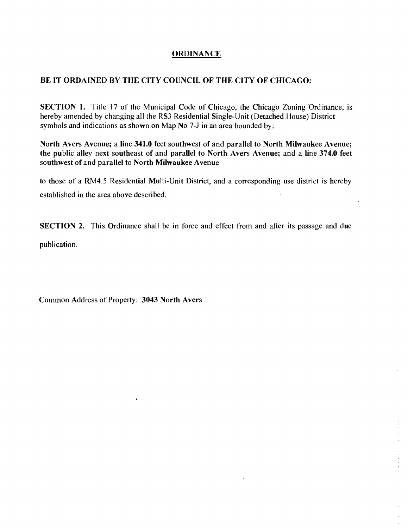#### **ORDINANCE**

### **BE IT ORDAINED BY THE CITY COUNCIL OF THE CITY OF CHICAGO:**

SECTION 1. Title 17 of the Municipal Code of Chicago, the Chicago Zoning Ordinance, is hereby amended by changing all the RS3 Residential Single-Unit (Detached House) District symbols and indications as shown on Map No 7-J in an area bounded by:

**North Avers Avenue; a line 341.0 feet southwest of and parallel to North Milwaukee Avenue; the public alley next southeast of and parallel to North Avers Avenue; and a line 374.0 feet southwest of and parallel to North Milwaukee Avenue** 

to those of a RM4.5 Residential Multi-Unit District, and a corresponding use district is hereby established in the area above described.

SECTION 2. This Ordinance shall be in force and effect from and after its passage and due

publication.

**Common Address of Property: 3043 North Avers** 

 $\ddot{\phantom{a}}$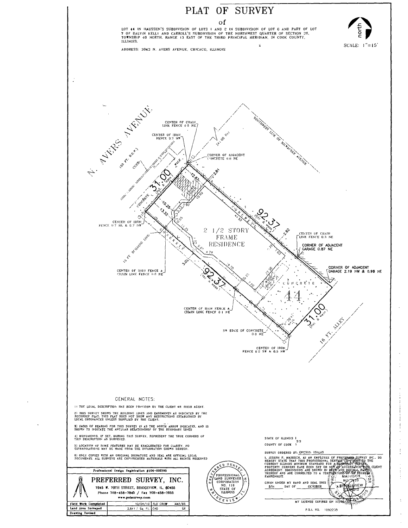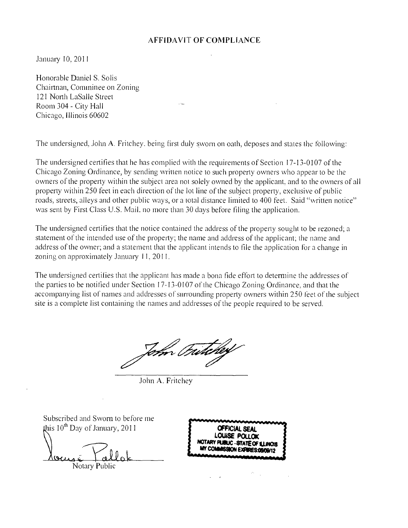#### **AFFIDAVIT OF COMPLIANCE**

January 10, 2011

Honorable Daniel S. Solis Chairtnan, Comininee on Zoning 121 Nonh LaSalle Street Room 304- City Hall Chicago, Illinois 60602

The undersigned, John A. Fritchey, being first duly sworn on oath, deposes and states the following:

The undersigned certifies that he has complied with the requirements of Section 17-13-0107 of the Chicago Zoning Ordinance, by sending written notice to such property owners who appear to be the owners of the property within the subject area not solely owned by the applicant, and to the owners of all property within 250 feet in each direction of the lot line of the subject property, exclusive of public roads, streets, alleys and other public ways, or a total distance limited to 400 feet. Said "written notice" was sent by First Class U.S. Mail, no more than 30 days before filing the application.

The undersigned certifies that the notice contained the address of the property sought to be rezoned; a statement of the intended use of the property; the name and address of the applicant; the name and address of the owner; and a statement that the applicant intends to file the application for a change in zoning on approximately January 11, 2011.

The undersigned certifies that the applicant has made a bona fide effort to determine the addresses of the parties to be notified under Section 1 7-13-0107 of the Chicago Zoning Ordinance, and that the accompanying list of names and addresses of surrounding property owners within 250 feet of the subject site is a complete list containing the names and addresses of the people required to be served.

Topon Frith

John A. Fritchey

Subscribed and Swom to before me Jais 10\* Day of January, 2011 **OFFtCIALSEAL** 

Notary Public

**LOUISE POI NOTARY PU8UC - STATE OF lUJNOlS**  MY COMMISSION EXPIRES:0**S/**09/12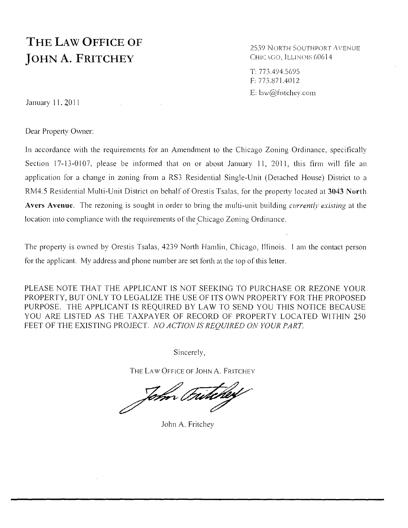# **THE LAW OFFICE OF** JOHN A. FRITCHEY

2539 North Southport Avenue<br>Chicago, Illinois 60614

T; 773.494.5695 F: 773.871.4012 E: law@fritchev.com

January 11, 2011

Dear Property Owner:

In accordance with the requirements for an Amendment to the Chicago Zoning Ordinance, specifically Section 17-13-0107, please be informed that on or about January 11, 2011, this firm will file an application for a change in zoning from a RS3 Residential Single-Unit (Detached House) District to a RM4.5 Residential Multi-Unit District on behalf of Orestis Tsalas, for the property located at 3043 North Avers Avenue. The rezoning is sought in order to bring the multi-unit building *currently existing* at the location into compliance with the requirements of the Chicago Zoning Ordinance.

The property is owned by Orestis Tsalas, 4239 North Hamlin, Chicago, Illinois. 1 am the contacl person for the applicant. My address and phone number are set forth at the top of this letter.

location into compliance with the requirements of the Chicago Zoning Ordinance.

*PLEASE NOTE THAT THE APPLICANT IS NOT SEEKING TO PURCHASE OR REZONE YOUR*  PROPERTY, BUT ONLY TO LEGALIZE THE USE OF ITS OWN PROPERTY FOR THE PROPOSED PURPOSE. THE APPLICANT IS REQUIRED BY LAW TO SEND YOU THIS NOTICE BECAUSE YOU ARE LISTED AS THE TAXPAYER OF RECORD OF PROPERTY LOCATED WITHIN 250 FEET OF THE EXISTING PROJECT. NO ACTION IS REOUIRED ON YOUR PART.

Sincerely,

THE LAW OFFICE OF JOHN A. FRITCHEY

John Fritcher

John A. Fritchey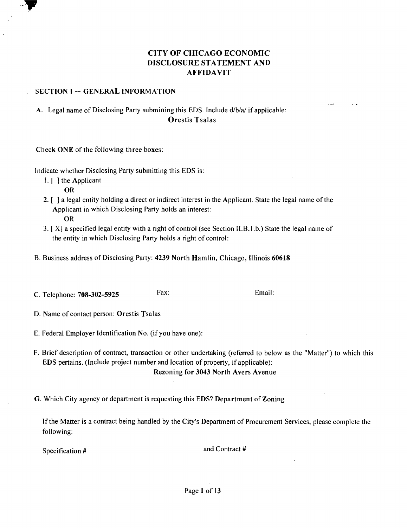# **CITY OF CHICAGO ECONOMIC DISCLOSURE STATEMENT AND AFFIDAVIT**

#### **SECTION I -- GENERAL INFORMATION**

A. Legal name of Disclosing Party submining this EDS. Include d/b/a/ if applicable: **Orestis Tsalas** 

**Check ONE of the following three boxes:** 

Indicate whether Disclosing Party submitting this EDS is:

- 1. [ ] the Applicant OR
- 2. [ ] a legal entity holding a direct or indirect interest in the Applicant. State the legal name ofthe Applicant in which Disclosing Party holds an interest:
	- OR
- 3. [ X] a specified legal entity with a right of control (see Section ILB.I .b.) State the legal name of the entity in which Disclosing Party holds a right of control:
- **B. Business address of Disclosing Party: 4239 North Hamlin, Chicago, Illinois 60618**
- C. Telephone: **708-302-5925** Fax: Email:

**D. Name of contact person: Orestis Tsalas** 

- E. Federal Employer Identification No. (if you have one):
- F. Brief description of contract, transaction or other undertaking (referred to below as the "Matter") to which this EDS pertains. (Include project number and location of property, if applicable): **Rezoning for 3043 North Avers Avenue**
- **G. Which City agency or department is requesting this EDS? Department of Zoning**

If the Matter is a contract being handled by the City's Department of Procurement Services, please complete the following:

Specification # and Contract #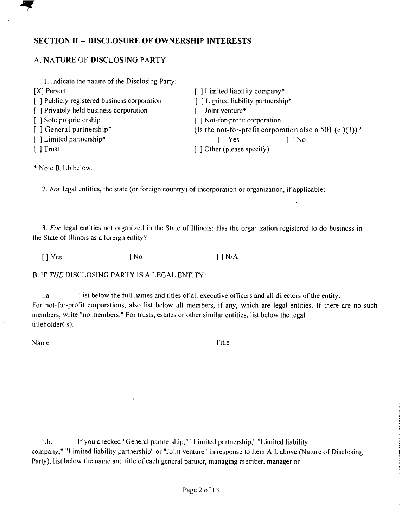#### **SECTION II ~ DISCLOSURE OF OWNERSHIP INTERESTS**

#### A. NATURE OF DISCLOSING PARTY

| 1. Indicate the nature of the Disclosing Party: |                                                           |  |
|-------------------------------------------------|-----------------------------------------------------------|--|
| $[X]$ Person                                    | [] Limited liability company*                             |  |
| [ ] Publicly registered business corporation    | [] Limited liability partnership*                         |  |
| [] Privately held business corporation          | [] Joint venture*                                         |  |
| [ ] Sole proprietorship                         | [] Not-for-profit corporation                             |  |
| [ ] General partnership*                        | (Is the not-for-profit corporation also a 501 (c $(3)$ )? |  |
| [ ] Limited partnership*                        | [ ] Yes<br>$\log$                                         |  |
| [ ] Trust                                       | $\lceil$ 1 Other (please specify)                         |  |

\* Note B.l.b below.

2. For legal entities, the state (or foreign country) of incorporation or organization, if applicable:

3. For legal entities not organized in the State of Illinois: Has the organization registered to do business in the State of Illinois as a foreign entity?

 $[\ ]$  Yes  $[\ ]$  No  $[\ ]$  N/A

B. IF THE DISCLOSING PARTY IS A LEGAL ENTITY:

l.a. List below the full names and titles of all executive officers and all directors of the entity. For not-for-profit corporations, also list below all members, if any, which are legal entities. If there are no such members, write "no members." For trusts, estates or other similar entities, list below the legal titleholder( s).

Name Title

l.b. If you checked "General partnership," "Limited partnership," "Limited liability company," "Limited liability partnership" or "Joint venture" in response to Item A.I. above (Nature of Disclosing Party), list below the name and title of each general partner, managing member, manager or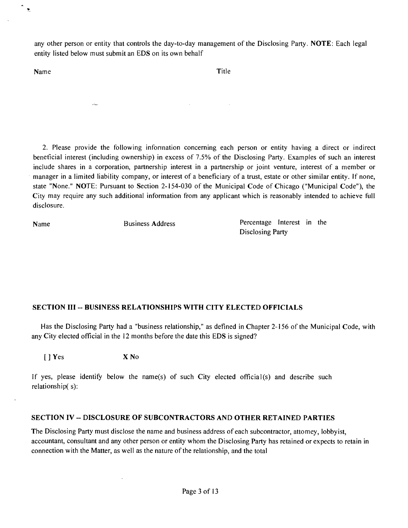any other person or entity that controls the day-to-day management of the Disclosing Party. NOTE: Each legal entity listed below must submit an EDS on its own behalf

Name Title

 $\mathbf{v}$ 

2. Please provide the following infonnation concerning each person or entity having a direct or indirect beneticial interest (including ownership) in excess of 7.5% of the Disclosing Party. Examples of such an interest include shares in a corporation, partnership interest in a partnership or joint venture, interest of a member or manager in a limited liability company, or interest of a beneficiary of a trust, estate or other similar entity. If none, state "None." NOTE: Pursuant to Section 2-154-030 of the Municipal Code of Chicago ("Municipal Code"), the City may require any such additional information from any applicant which is reasonably intended to achieve fiill disclosure.

Name Business Address **Percentage Interest** in the Disclosing Party

## **SECTION III - BUSINESS RELATIONSHIPS WITH CITY ELECTED OFFICIALS**

Has the Disclosing Party had a "business relationship," as defined in Chapter 2-156 of the Municipal Code, with any City elected official in the 12 months before the date this EDS is signed?

[ ] Yes X No

ويتادر

If yes, please identify below the name(s) of such City elected official(s) and describe such relationship( s):

#### **SECTION IV - DISCLOSURE OF SUBCONTRACTORS AND OTHER RETAINED PARTIES**

The Disclosing Party must disclose the name and business address of each subcontractor, attomey, lobbyist, accountant, consultant and any other person or entity whom the Disclosing Party has retained or expects to retain in connection with the Matter, as well as the nature of the relationship, and the total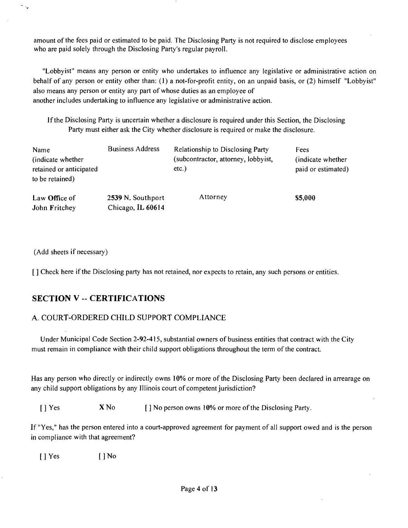amount of the fees paid or estimated to be paid. The Disclosing Party is not required to disclose employees who are paid solely through the Disclosing Party's regular payroll.

"Lobbyist" means any person or entity who undertakes to influence any legislative or administrative action on behalf of any person or entity other than: (1) a not-for-profit entity, on an unpaid basis, or (2) himself "Lobbyist" also means any person or entity any part of whose duties as an employee of another includes undertaking to influence any legislative or administrative action.

If the Disclosing Party is uncertain whether a disclosure is required under this Section, the Disclosing Party must either ask the City whether disclosure is required or make the disclosure.

| Name<br>(indicate whether)<br>retained or anticipated<br>to be retained) | <b>Business Address</b>                | <b>Relationship to Disclosing Party</b><br>(subcontractor, attorney, lobbyist,<br>$etc.$ ) | Fees<br>(indicate whether)<br>paid or estimated) |
|--------------------------------------------------------------------------|----------------------------------------|--------------------------------------------------------------------------------------------|--------------------------------------------------|
| Law Office of<br>John Fritchey                                           | 2539 N. Southport<br>Chicago, IL 60614 | Attorney                                                                                   | \$5,000                                          |

(Add sheets if necessary)

 $\gamma_{\alpha_\varphi}$ 

[ ] Check here if the Disclosing party has not retained, nor expects to retain, any such persons or entities.

# **SECTION V -- CERTIFICATIONS**

## A. COURT-ORDERED CHILD SUPPORT COMPLIANCE

Under Municipal Code Section 2-92-415, substantial owners of business entities that contract with the City must remain in compliance with their child support obligations throughout the term of the contract.

Has any person who directly or indirectly owns 10% or more of the Disclosing Party been declared in arrearage on any child support obligations by any Illinois court of competent jurisdiction?

[] Yes **X** No [] No person owns 10% or more of the Disclosing Party.

If "Yes," has the person entered into a court-approved agreement for payment of all support owed and is the person in compliance with that agreement?

[ ] Yes [ ] No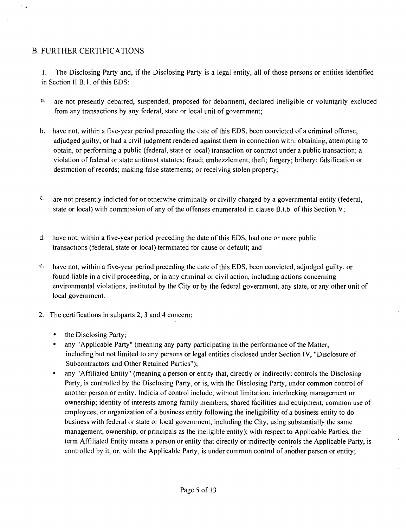# B. FURTHER CERTIFICATIONS

ر، م

1. The Disclosing Party and, if the Disclosing Party is a legal entity, all of those persons or entities identified in Section II.B.l. of this EDS:

- a. are not presently debarred, suspended, proposed for debarment, declared ineligible or voluntarily excluded from any transactions by any federal, state or local unit of government;
- b. have not, within a five-year period preceding the date of this EDS, been convicted of a criminal offense, adjudged guilty, or had a civil judgment rendered against them in connection with: obtaining, attempting to obtain, or performing a public (federal, state or local) transaction or contract under a public transaction; a violation of federal or state antitmst statutes; fraud; embezzlement; theft; forgery; bribery; falsification or destmction of records; making false statements; or receiving stolen property;
- $c_{\cdot}$ are not presently indicted for or otherwise criminally or civilly charged by a governmental entity (federal, state or local) with commission of any of the offenses enumerated in clause B.t.b. of this Section V;
- d. have not, within a five-year period preceding the date of this EDS, had one or more public transactions (federal, state or local) terminated for cause or default; and
- $e$ . have not, within a five-year period preceding the date of this EDS, been convicted, adjudged guilty, or found liable in a civil proceeding, or in any criminal or civil action, including actions concerning environmental violations, instituted by the City or by the federal govemment, any state, or any other unit of local govemment.
- 2. The certifications in subparts 2, 3 and 4 concem:
	- the Disclosing Party;
	- any "Applicable Party" (meaning any party participating in the performance of the Matter, including but not limited to any persons or legal entities disclosed under Section IV, "Disclosure of Subcontractors and Other Retained Parties");
	- any "Affiliated Entity" (meaning a person or entity that, directly or indirectly: controls the Disclosing Party, is controlled by the Disclosing Party, or is, with the Disclosing Party, under common control of another person or entity. Indicia of control include, without limitation: interlocking management or ownership; identity of interests among family members, shared facilities and equipment; common use of employees; or organization of a business entity following the ineligibility of a business entity to do business with federal or state or local govemment, including the City, using substantially the same management, ownership, or principals as the ineligible entity); with respect to Applicable Parties, the term Affiliated Entity means a person or entity that directly or indirectly controls the Applicable Party, is controlled by it, or, with the Applicable Party, is under common control of another person or entity;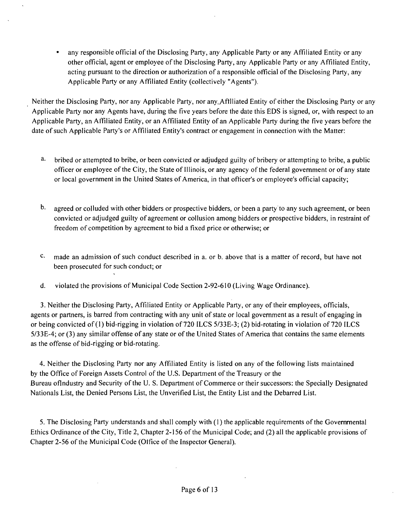• any responsible official of the Disclosing Party, any Applicable Party or any Affiliated Entity or any other official, agent or employee of the Disclosing Party, any Applicable Party or any Affiliated Entity, acting pursuant to the direction or authorization of a responsible official of the Disclosing Party, any Applicable Party or any Affiliated Entity (collectively "Agents").

Neither the Disclosing Party, nor any Applicable Party, nor any Afflliated Entity of either the Disclosing Party or any Applicable Party nor any Agents have, during the five years before the date this EDS is signed, or, with respect to an Applicable Party, an Affiliated Entity, or an Affiliated Entity of an Applicable Party during the five years before the date of such Applicable Party's or Affiliated Entity's contract or engagement in connection with the Matter:

- a. bribed or attempted to bribe, or been convicted or adjudged guilty of bribery or attempting to bribe, a public officer or employee ofthe City, the State of Illinois, or any agency ofthe federal govemment or of any state or local government in the United States of America, in that officer's or employee's official capacity;
- b. agreed or colluded with other bidders or prospective bidders, or been a party to any such agreement, or been convicted or adjudged guilty of agreement or collusion among bidders or prospective bidders, in restraint of freedom of competition by agreement to bid a fixed price or otherwise; or
- $c.$ made an admission of such conduct described in a. or b. above that is a matter of record, but have not been prosecuted for such conduct; or
- d. violated the provisions of Municipal Code Section 2-92-610 (Living Wage Ordinance).

3. Neither the Disclosing Party, Affiliated Entity or Applicable Party, or any of their employees, officials, agents or partners, is barred from contracting with any unit of state or local govemment as a result of engaging in or being convicted of (1) bid-rigging in violation of 720 ILCS 5/33E-3; (2) bid-rotating in violation of 720 ILCS 5/33E-4; or (3) any similar offense of any state or of the United States of America that contains the same elements as the offense of bid-rigging or bid-rotating.

4. Neither the Disclosing Party nor any Affiliated Entity is listed on any of the following lists maintained by the Office of Foreign Assets Control of the U.S. Department of the Treasury or the Bureau oflndustry and Security of the U. S. Department of Commerce or their successors: the Specially Designated Nationals List, the Denied Persons List, the Unverified List, the Entity List and the Debarred List.

5. The Disclosing Party understands and shall comply with (1) the applicable requirements of the Govemmental Ethics Ordinance of the City, Title 2, Chapter 2-156 of the Municipal Code; and (2) all the applicable provisions of Chapter 2-56 of the Municipal Code (Office of the Inspector General).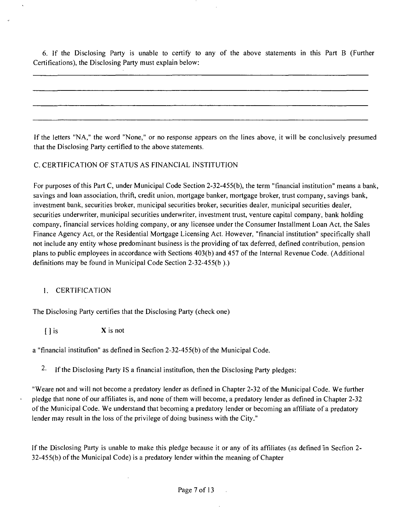6. If the Disclosing Party is unable to certify to any of the above statements in this Part B (Further Certifications), the Disclosing Party must explain below:

If the letters "NA," the word "None," or no response appears on the lines above, it will be conclusively presumed that the Disclosing Party certified to the above statements.

#### C. CERTIFICATION OF STATUS AS FINANCIAL INSTITUTION

For purposes of this Part C, under Municipal Code Section 2-32-455(b), the term "financial institution" means a bank, savings and loan association, thrift, credit union, mortgage banker, mortgage broker, trust company, savings bank, investment bank, securities broker, municipal securities broker, securities dealer, municipal securities dealer, securities underwriter, municipal securities underwriter, investment tmst, venture capital company, bank holding company, financial services holding company, or any licensee under the Consumer Installment Loan Act, the Sales Finance Agency Act, or the Residential Mortgage Licensing Act. However, "financial institution" specifically shall not include any entity whose predominant business is the providing of tax deferred, defined contribution, pension plans to public employees in accordance with Sections 403(b) and 457 ofthe Internal Revenue Code. (Additional definitions may be found in Municipal Code Section 2-32-455(b ).)

#### 1. CERTIFICATION

The Disclosing Party certifies that the Disclosing Party (check one)

 $\begin{array}{ccc} \text{1} & \text{1} & \text{1} \\ \text{1} & \text{1} & \text{1} \\ \text{1} & \text{1} & \text{1} \\ \text{2} & \text{2} & \text{2} \\ \text{3} & \text{4} & \text{3} \\ \text{4} & \text{5} & \text{4} \\ \text{5} & \text{6} & \text{6} \\ \text{6} & \text{7} & \text{8} \\ \text{7} & \text{8} & \text{9} \\ \text{8} & \text{9} & \text{10} \\ \text{9} & \text{10} & \text{11} \\ \text{10} & \text{11$ 

a "financial institufion" as defined in Secfion 2-32-455(b) of the Municipal Code.

2- If the Disclosing Party IS a financial institufion, then the Disclosing Party pledges:

"Weare not and will not become a predatory lender as defined in Chapter 2-32 of the Municipal Code. We further pledge that none of our affiliates is, and none of them will become, a predatory lender as defined in Chapter 2-32 of the Municipal Code. We understand that becoming a predatory lender or becoming an affiliate of a predatory lender may result in the loss of the privilege of doing business with the City."

If the Disclosing Party is unable to make this pledge because it or any of its affiliates (as defined in Secfion 2- 32-455(b) of the Municipal Code) is a predatory lender within the meaning of Chapter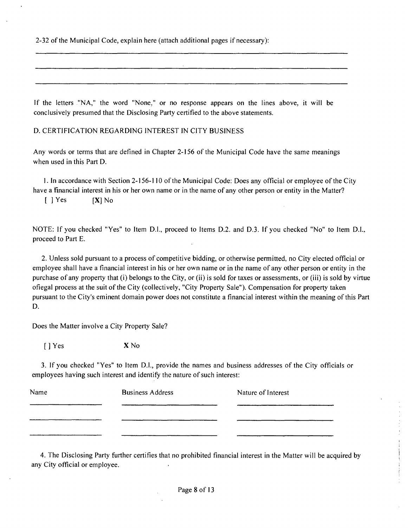2-32 of the Municipal Code, explain here (attach additional pages if necessary):

If the letters "NA," the word "None," or no response appears on the lines above, it will be conclusively presumed that the Disclosing Party certified to the above statements.

D. CERTIFICATION REGARDING INTEREST IN CITY BUSINESS

Any words or terms that are defined in Chapter 2-156 of the Municipal Code have the same meanings when used in this Part D.

1. In accordance with Section 2-156-110 of the Municipal Code: Does any official or employee of the City have a financial interest in his or her own name or in the name of any other person or entity in the Matter?  $[$  | Yes  $[X]$  No

NOTE: If you checked "Yes" to Item D.l., proceed to Items D.2. and D.3. If you checked "No" to Item D.L. proceed to Part E.

2. Unless sold pursuant to a process of competitive bidding, or otherwise permitted, no City elected official or employee shall have a financial interest in his or her own name or in the name of any other person or entity in the purchase of any property that (i) belongs to the City, or (ii) is sold for taxes or assessments, or (iii) is sold by virtue ofiegal process at the suit of the City (collectively, "City Property Sale"). Compensation for property taken pursuant to the City's eminent domain power does not constitute a financial interest within the meaning ofthis Part D.

Does the Matter involve a City Property Sale?

[ ] Yes X No

3. If you checked "Yes" to Item D.l., provide the names and business addresses of the City officials or employees having such interest and identify the nature of such interest:

| Name | <b>Business Address</b> | Nature of Interest |
|------|-------------------------|--------------------|
|      |                         |                    |
|      |                         |                    |
|      |                         |                    |

4. The Disclosing Party further certifies that no prohibited financial interest in the Matter will be acquired by any City official or employee.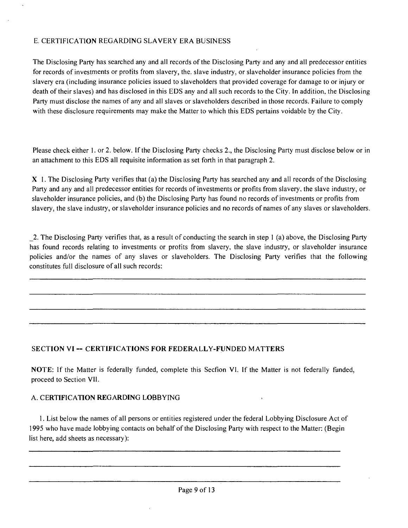#### E. CERTIFICATION REGARDING SLAVERY ERA BUSINESS

The Disclosing Party has searched any and all records of the Disclosing Party and any and all predecessor entities for records of investments or profits from slavery, the. slave industry, or slaveholder insurance policies from the slavery era (including insurance policies issued to slaveholders that provided coverage for damage to or injury or death of their slaves) and has disclosed in this EDS any and all such records to the City. In addition, the Disclosing Party must disclose the names of any and all slaves or slaveholders described in those records. Failure to comply with these disclosure requirements may make the Matter to which this EDS pertains voidable by the City.

Please check either 1. or 2. below. If the Disclosing Party checks 2., the Disclosing Party must disclose below or in an attachment to this EDS all requisite information as set forth in that paragraph 2.

X 1. The Disclosing Party verifies that (a) the Disclosing Party has searched any and all records of the Disclosing Party and any and all predecessor entities for records of investments or profits from slavery, the slave industry, or slaveholder insurance policies, and (b) the Disclosing Party has found no records of investments or profits from slavery, the slave industry, or slaveholder insurance policies and no records of names of any slaves or slaveholders.

2. The Disclosing Party verifies that, as a result of conducting the search in step 1 (a) above, the Disclosing Party has found records relating to investments or profits from slavery, the slave industry, or slaveholder insurance policies and/or the names of any slaves or slaveholders. The Disclosing Party verifies that the following constitutes full disclosure of all such records:

## **SECTION VI — CERTIFICATIONS FOR FEDERALLY-FUNDED MATTERS**

NOTE: If the Matter is federally funded, complete this Secfion VI. If the Matter is not federally funded, proceed to Section VII.

#### A. CERTIFICATION REGARDING LOBBYING

1. List below the names of all persons or entities registered under the federal Lobbying Disclosure Act of 1995 who have made lobbying contacts on behalf of the Disclosing Party with respect to the Matter: (Begin list here, add sheets as necessary):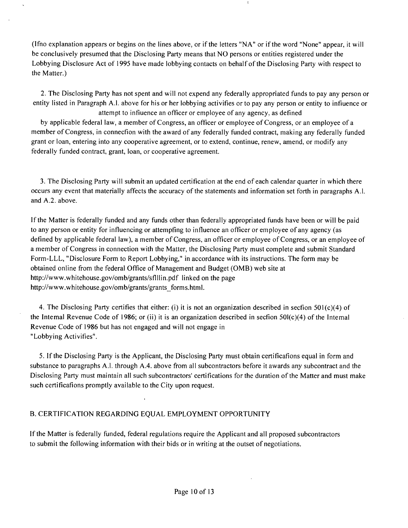(Ifno explanation appears or begins on the lines above, or if the letters "NA" or if the word "None" appear, it will be conclusively presumed that the Disclosing Party means that NO persons or entities registered under the Lobbying Disclosure Act of 1995 have made lobbying contacts on behalf of the Disclosing Party with respect to the Matter.)

2. The Disclosing Party has not spent and will not expend any federally appropriated funds to pay any person or entity listed in Paragraph A.l. above for his or her lobbying activifies or to pay any person or entity to infiuence or attempt to infiuence an officer or employee of any agency, as defined

by applicable federal law, a member of Congress, an officer or employee of Congress, or an employee of a member of Congress, in connecfion with the award of any federally funded contract, making any federally funded grant or loan, entering into any cooperative agreement, or to extend, continue, renew, amend, or modify any federally funded contract, grant, loan, or cooperative agreement.

3. The Disclosing Party will submit an updated certification at the end of each calendar quarter in which there occurs any event that materially affects the accuracy of the statements and information set forth in paragraphs A.l. and A.2. above.

If the Matter is federally funded and any funds other than federally appropriated funds have been or will be paid to any person or entity for influencing or attempfing to influence an officer or employee of any agency (as defined by applicable federal law), a member of Congress, an officer or employee of Congress, or an employee of a member of Congress in connection with the Matter, the Disclosing Party must complete and submit Standard Form-LLL, "Disclosure Form to Report Lobbying," in accordance with its instructions. The form may be obtained online from the federal Office of Management and Budget (OMB) web site at http://www.whitehouse.gov/omb/grants/sflllin.pdf linked on the page http://www.whitehouse.gov/omb/grants/grants\_forms.html.

4. The Disclosing Party certifies that either: (i) it is not an organization described in secfion 501(c)(4) of the Intemal Revenue Code of 1986; or (ii) it is an organization described in secfion  $50I(c)(4)$  of the Intemal Revenue Code of 1986 but has not engaged and will not engage in "Lobbying Activifies".

5. If the Disclosing Party is the Applicant, the Disclosing Party must obtain certificafions equal in form and substance to paragraphs A.l. through A.4. above from all subcontractors before it awards any subcontract and the Disclosing Party must maintain all such subcontractors' certifications for the duration of the Matter and must make such certificafions promptly available to the City upon request.

#### B. CERTIFICATION REGARDING EQUAL EMPLOYMENT OPPORTUNITY

If the Matter is federally funded, federal regulations require the Applicant and all proposed subcontractors to submit the following information with their bids or in writing at the outset of negotiations.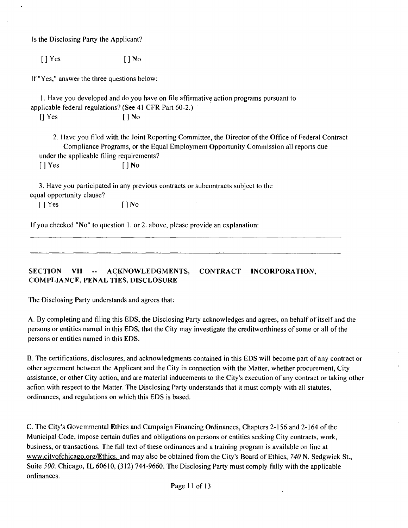Is the Disclosing Party the Applicant?

[ ] Yes [ ] No

If "Yes," answer the three questions below:

1. Have you developed and do you have on file affirmative action programs pursuant to applicable federal regulations? (See 41 CFR Part 60-2.)

 $\begin{bmatrix} \end{bmatrix}$  Yes  $\begin{bmatrix} \end{bmatrix}$  No

2. Have you filed with the Joint Reporting Committee, the Director ofthe Office of Federal Contract Compliance Programs, or the Equal Employment Opportunity Commission all reports due under the applicable filing requirements?

 $\lceil \cdot \rceil$  Yes  $\lceil \cdot \rceil$  No

3. Have you participated in any previous contracts or subcontracts subject to the equal opportunity clause?

[ ] Yes [ ] No

If you checked "No" to question 1. or 2. above, please provide an explanation:

SECTION VII -- ACKNOWLEDGMENTS, CONTRACT INCORPORATION, **COMPLIANCE, PENAL TIES, DISCLOSURE** 

The Disclosing Party understands and agrees that:

A. By completing and filing this EDS, the Disclosing Party acknowledges and agrees, on behalf of itself and the persons or entities named in this EDS, that the City may investigate the creditworthiness of some or all of the persons or entities named in this EDS.

B. The certifications, disclosures, and acknowledgments contained in this EDS will become part of any contract or other agreement between the Applicant and the City in connection with the Matter, whether procurement. City assistance, or other City action, and are material inducements to the City's execution of any contract or taking other acfion with respect to the Matter. The Disclosing Party understands that it must comply with all statutes, ordinances, and regulations on which this EDS is based.

C. The City's Govemmental Ethics and Campaign Financing Ordinances, Chapters 2-156 and 2-164 of the Municipal Code, impose certain dufies and obligations on persons or entities seeking City contracts, work, business, or transactions. The fiill text of these ordinances and a training program is available on line at www.citvofchicago.org/Ethics. and may also be obtained from the City's Board of Ethics, 740 N. Sedgwick St., Suite 500, Chicago, IL 60610, (312) 744-9660. The Disclosing Party must comply fiilly with the applicable ordinances.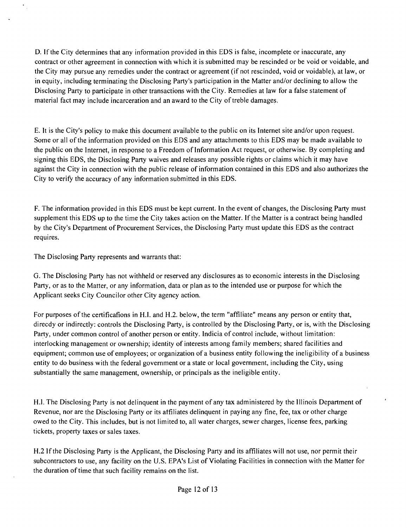D. If the City determines that any information provided in this EDS is false, incomplete or inaccurate, any contract or other agreement in connection with which it is submitted may be rescinded or be void or voidable, and the City may pursue any remedies under the contract or agreemenl (if not rescinded, void or voidable), at law, or in equity, including terminating the Disclosing Party's participation in the Matter and/or declining to allow the Disclosing Party to participate in other transactions with the City. Remedies at law for a false statement of material fact may include incarceration and an award to the City of treble damages.

E. It is the City's policy to make this document available to the public on its Intemet site and/or upon request. Some or all of the information provided on this EDS and any attachments to this EDS may be made available to the public on the Internet, in response to a Freedom of Information Act request, or otherwise. By completing and signing this EDS, the Disclosing Party waives and releases any possible rights or claims which it may have against the City in connection with the public release of infbrmation contained in this EDS and also authorizes the City to verify the accuracy of any information submitted in this EDS.

F. The information provided in this EDS must be kept current. In the event of changes, the Disclosing Party must supplement this EDS up to the time the City takes action on the Matter. If the Matter is a contract being handled by the City's Departmeni of Procurement Services, the Disclosing Party must update this EDS as the contract requires.

The Disclosing Party represents and warrants that:

G. The Disclosing Party has not withheld or reserved any disclosures as to economic interests in the Disclosing Party, or as to the Matter, or any information, data or plan as to the intended use or purpose for which the Applicant seeks City Councilor other City agency action.

For purposes of the certificafions in H.I. and H.2. below, the term "affiliate" means any person or entity lhat, direcdy or indirectly: controls the Disclosing Party, is controlled by the Disclosing Party, or is, with the Disclosing Party, under common control of another person or entity. Indicia of control include, without limitation: interlocking management or ownership; identity of interests among family members; shared facilities and equipment; common use of employees; or organization of a business enfity following the ineligibility of a business entity to do business with the federal government or a state or local government, including the City, using substantially the same management, ownership, or principals as the ineligible entity.

H.I. The Disclosing Party is not delinquent in the payment of any lax administered by the Illinois Departmeni of Revenue, nor are the Disclosing Party or its affiliates delinquent in paying any fine, fee, tax or other charge owed to the City. This includes, but is not limited to, all water charges, sewer charges, license fees, parking tickets, property taxes or sales taxes.

H.2 If the Disclosing Party is the Applicant, the Disclosing Party and its affiliates will not use, nor permit their subcontractors to use, any facility on the U.S. EPA's List of Violating Facilities in connection with the Matter for the duration of time that such facility remains on the list.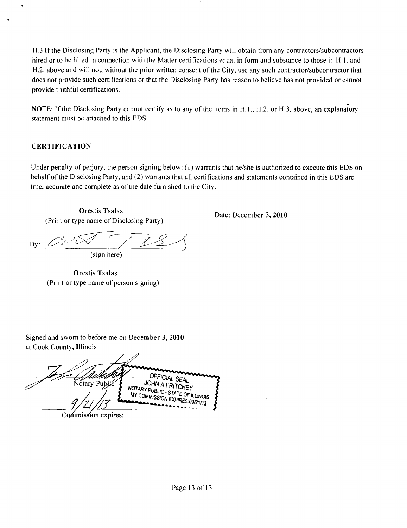H.3 If the Disclosing Parly is the Applicant, the Disclosing Parly will obtain from any contractors/subcontractors hired or to be hired in connection with the Matter certifications equal in form and substance to those in H.l. and H.2. above and will not, without the prior written consent of the City, use any such contractor/subcontractor that does not provide such certifications or that the Disclosing Party has reason to believe has not provided or cannot provide truthful certifications.

NOTE: If the Disclosing Party cannot certify as to any of the items in H.I., H.2. or H.3. above, an explanatory statement must be attached to this EDS.

#### **CERTIFICATION**

Under penalty of perjury, the person signing below: (1) warrants that he/she is authorized to execute this EDS on behalf of the Disclosing Party, and (2) warrants that all certifications and statements contained in this EDS are tme, accurate and complete as of the date fumished to the City.

**Orestis Tsalas**  (Print or type name of Disclosing Party)

**Date: December 3, 2010** 

By:  $\angle$ (sign here)

**Orestis Tsalas**  (Print or type name of person signing)

Signed and swom to before me on December 3, 2010 at Cook County, Illinois

AND UPPER SEAL WELLIC SEAL NOTARY PUBLIC STATE OF MY COMMISSION EXP **ILLINOIS** Commission expires: